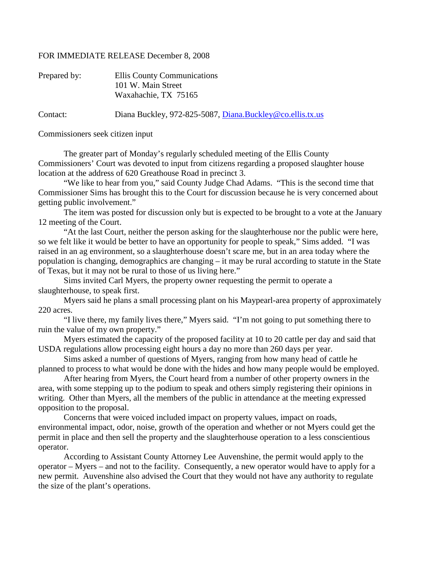## FOR IMMEDIATE RELEASE December 8, 2008

| Prepared by: | Ellis County Communications<br>101 W. Main Street<br>Waxahachie, TX 75165 |
|--------------|---------------------------------------------------------------------------|
| Contact:     | Diana Buckley, 972-825-5087, Diana.Buckley@co.ellis.tx.us                 |

Commissioners seek citizen input

The greater part of Monday's regularly scheduled meeting of the Ellis County Commissioners' Court was devoted to input from citizens regarding a proposed slaughter house location at the address of 620 Greathouse Road in precinct 3.

"We like to hear from you," said County Judge Chad Adams. "This is the second time that Commissioner Sims has brought this to the Court for discussion because he is very concerned about getting public involvement."

The item was posted for discussion only but is expected to be brought to a vote at the January 12 meeting of the Court.

"At the last Court, neither the person asking for the slaughterhouse nor the public were here, so we felt like it would be better to have an opportunity for people to speak," Sims added. "I was raised in an ag environment, so a slaughterhouse doesn't scare me, but in an area today where the population is changing, demographics are changing – it may be rural according to statute in the State of Texas, but it may not be rural to those of us living here."

Sims invited Carl Myers, the property owner requesting the permit to operate a slaughterhouse, to speak first.

Myers said he plans a small processing plant on his Maypearl-area property of approximately 220 acres.

"I live there, my family lives there," Myers said. "I'm not going to put something there to ruin the value of my own property."

Myers estimated the capacity of the proposed facility at 10 to 20 cattle per day and said that USDA regulations allow processing eight hours a day no more than 260 days per year.

Sims asked a number of questions of Myers, ranging from how many head of cattle he planned to process to what would be done with the hides and how many people would be employed.

After hearing from Myers, the Court heard from a number of other property owners in the area, with some stepping up to the podium to speak and others simply registering their opinions in writing. Other than Myers, all the members of the public in attendance at the meeting expressed opposition to the proposal.

Concerns that were voiced included impact on property values, impact on roads, environmental impact, odor, noise, growth of the operation and whether or not Myers could get the permit in place and then sell the property and the slaughterhouse operation to a less conscientious operator.

According to Assistant County Attorney Lee Auvenshine, the permit would apply to the operator – Myers – and not to the facility. Consequently, a new operator would have to apply for a new permit. Auvenshine also advised the Court that they would not have any authority to regulate the size of the plant's operations.